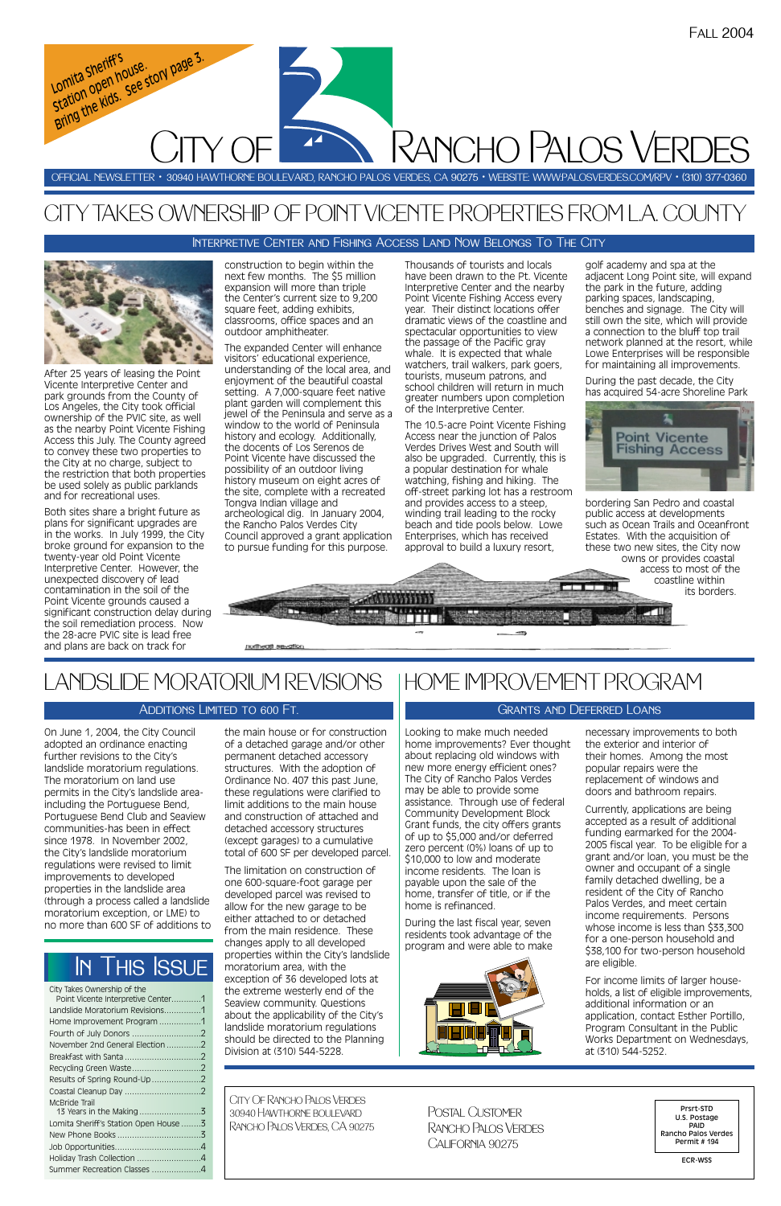Looking to make much needed home improvements? Ever thought about replacing old windows with new more energy efficient ones? The City of Rancho Palos Verdes may be able to provide some assistance. Through use of federal Community Development Block Grant funds, the city offers grants of up to \$5,000 and/or deferred zero percent (0%) loans of up to \$10,000 to low and moderate income residents. The loan is payable upon the sale of the home, transfer of title, or if the home is refinanced.

During the last fiscal year, seven residents took advantage of the program and were able to make



necessary improvements to both the exterior and interior of their homes. Among the most popular repairs were the replacement of windows and doors and bathroom repairs.

Currently, applications are being accepted as a result of additional funding earmarked for the 2004- 2005 fiscal year. To be eligible for a grant and/or loan, you must be the owner and occupant of a single family detached dwelling, be a resident of the City of Rancho Palos Verdes, and meet certain income requirements. Persons whose income is less than \$33,300 for a one-person household and \$38,100 for two-person household are eligible.

For income limits of larger households, a list of eligible improvements, additional information or an application, contact Esther Portillo, Program Consultant in the Public Works Department on Wednesdays, at (310) 544-5252.

On June 1, 2004, the City Council adopted an ordinance enacting further revisions to the City's landslide moratorium regulations. The moratorium on land use permits in the City's landslide areaincluding the Portuguese Bend, Portuguese Bend Club and Seaview communities-has been in effect since 1978. In November 2002, the City's landslide moratorium regulations were revised to limit improvements to developed properties in the landslide area (through a process called a landslide moratorium exception, or LME) to no more than 600 SF of additions to

the main house or for construction of a detached garage and/or other permanent detached accessory structures. With the adoption of Ordinance No. 407 this past June, these regulations were clarified to limit additions to the main house and construction of attached and detached accessory structures (except garages) to a cumulative total of 600 SF per developed parcel.

The limitation on construction of one 600-square-foot garage per developed parcel was revised to allow for the new garage to be either attached to or detached from the main residence. These changes apply to all developed properties within the City's landslide moratorium area, with the exception of 36 developed lots at the extreme westerly end of the Seaview community. Questions about the applicability of the City's landslide moratorium regulations should be directed to the Planning Division at (310) 544-5228.

After 25 years of leasing the Point Vicente Interpretive Center and park grounds from the County of Los Angeles, the City took official ownership of the PVIC site, as well as the nearby Point Vicente Fishing Access this July. The County agreed to convey these two properties to the City at no charge, subject to the restriction that both properties be used solely as public parklands and for recreational uses.

Both sites share a bright future as plans for significant upgrades are in the works. In July 1999, the City broke ground for expansion to the twenty-year old Point Vicente Interpretive Center. However, the unexpected discovery of lead contamination in the soil of the Point Vicente grounds caused a significant construction delay during the soil remediation process. Now the 28-acre PVIC site is lead free and plans are back on track for

*Lomita Sheriff's*  Lomita Shern<br>Lomita Shern house.<br>Station open house st

Lomita sheriff's<br>Lomita sheriff's<br>Station open house story page 3.<br>Bring the kids. See story

construction to begin within the next few months. The \$5 million expansion will more than triple the Center's current size to 9,200 square feet, adding exhibits, classrooms, office spaces and an outdoor amphitheater.

The expanded Center will enhance visitors' educational experience, understanding of the local area, and enjoyment of the beautiful coastal setting. A 7,000-square feet native plant garden will complement this jewel of the Peninsula and serve as a window to the world of Peninsula history and ecology. Additionally, the docents of Los Serenos de Point Vicente have discussed the possibility of an outdoor living history museum on eight acres of the site, complete with a recreated Tongva Indian village and archeological dig. In January 2004, the Rancho Palos Verdes City Council approved a grant application to pursue funding for this purpose.

Thousands of tourists and locals have been drawn to the Pt. Vicente Interpretive Center and the nearby Point Vicente Fishing Access every year. Their distinct locations offer dramatic views of the coastline and spectacular opportunities to view the passage of the Pacific gray whale. It is expected that whale watchers, trail walkers, park goers, tourists, museum patrons, and school children will return in much greater numbers upon completion of the Interpretive Center.

The 10.5-acre Point Vicente Fishing Access near the junction of Palos Verdes Drives West and South will also be upgraded. Currently, this is a popular destination for whale watching, fishing and hiking. The off-street parking lot has a restroom and provides access to a steep, winding trail leading to the rocky beach and tide pools below. Lowe Enterprises, which has received approval to build a luxury resort,

golf academy and spa at the adjacent Long Point site, will expand the park in the future, adding parking spaces, landscaping, benches and signage. The City will still own the site, which will provide a connection to the bluff top trail network planned at the resort, while Lowe Enterprises will be responsible for maintaining all improvements.

During the past decade, the City has acquired 54-acre Shoreline Park



bordering San Pedro and coastal public access at developments such as Ocean Trails and Oceanfront Estates. With the acquisition of these two new sites, the City now owns or provides coastal access to most of the

coastline within its borders.

# CITY TAKES OWNERSHIP OF POINT VICENTE PROPERTIES FROM L.A. COUNTY

OFFICIAL NEWSLETTER • 30940 HAWTHORNE BOULEVARD, RANCHO PALOS VERDES, CA 90275 • WEBSITE: WWW:PALOSVERDES.COM/RPV • (310) 377-0360

City Of Rancho Palos Verdes 30940 Hawthorne boulevard Rancho Palos Verdes, CA 90275

Prsrt-STD U.S. Postage PAID Rancho Palos Verdes Permit # 194

ECR-WSS

Postal Customer Rancho Palos Verdes California 90275

| City Takes Ownership of the           |  |
|---------------------------------------|--|
| Point Vicente Interpretive Center1    |  |
| Landslide Moratorium Revisions1       |  |
| Home Improvement Program 1            |  |
|                                       |  |
| November 2nd General Election2        |  |
|                                       |  |
|                                       |  |
| Results of Spring Round-Up2           |  |
|                                       |  |
| McBride Trail                         |  |
|                                       |  |
| Lomita Sheriff's Station Open House 3 |  |
|                                       |  |
|                                       |  |
| Holiday Trash Collection 4            |  |

Summer Recreation Classes ....................4

# In This Issue

Rancho Palos Verdes

LANDSLIDE MORATORIUM REVISIONS

notheath sevation

CITY OF

### ADDITIONS LIMITED TO 600 FT.

## HOME IMPROVEMENT PROGRAM

### Grants and Deferred Loans

### Interpretive Center and Fishing Access Land Now Belongs To The City

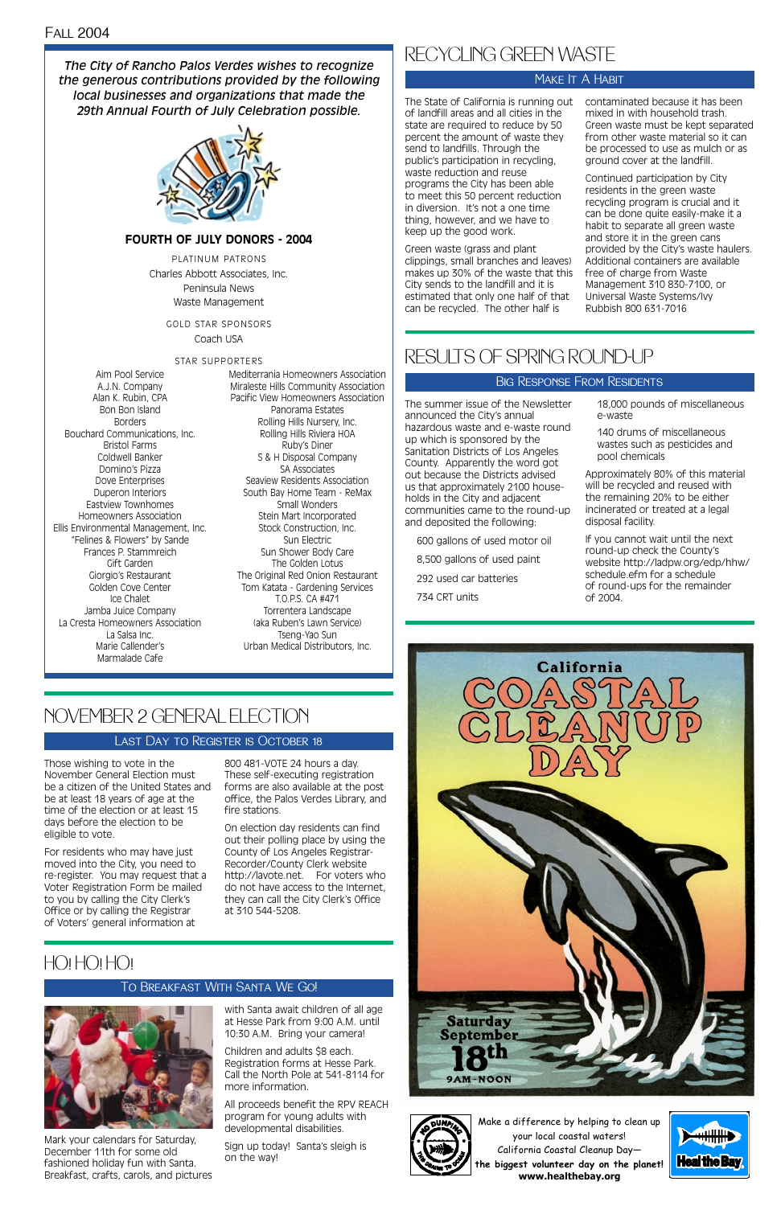Those wishing to vote in the November General Election must be a citizen of the United States and be at least 18 years of age at the time of the election or at least 15 days before the election to be eligible to vote.

For residents who may have just moved into the City, you need to re-register. You may request that a Voter Registration Form be mailed to you by calling the City Clerk's Office or by calling the Registrar of Voters' general information at

800 481-VOTE 24 hours a day. These self-executing registration forms are also available at the post office, the Palos Verdes Library, and fire stations.

On election day residents can find out their polling place by using the County of Los Angeles Registrar-Recorder/County Clerk website http://lavote.net. For voters who do not have access to the Internet, they can call the City Clerk's Office at 310 544-5208.

# NOVEMBER 2 GENERAL ELECTION

### Last Day to Register is October 18

Mark your calendars for Saturday, December 11th for some old fashioned holiday fun with Santa. Breakfast, crafts, carols, and pictures

with Santa await children of all age at Hesse Park from 9:00 A.M. until 10:30 A.M. Bring your camera!

Children and adults \$8 each. Registration forms at Hesse Park. Call the North Pole at 541-8114 for more information.

All proceeds benefit the RPV REACH program for young adults with developmental disabilities.

Sign up today! Santa's sleigh is on the way!



## HO! HO! HO!

### To Breakfast With Santa We Go!



The State of California is running out contaminated because it has been of landfill areas and all cities in the state are required to reduce by 50 percent the amount of waste they send to landfills. Through the public's participation in recycling, waste reduction and reuse programs the City has been able to meet this 50 percent reduction in diversion. It's not a one time thing, however, and we have to keep up the good work.

Green waste (grass and plant clippings, small branches and leaves) makes up 30% of the waste that this City sends to the landfill and it is estimated that only one half of that can be recycled. The other half is

mixed in with household trash. Green waste must be kept separated from other waste material so it can be processed to use as mulch or as ground cover at the landfill.

Continued participation by City residents in the green waste recycling program is crucial and it can be done quite easily-make it a habit to separate all green waste and store it in the green cans provided by the City's waste haulers. Additional containers are available free of charge from Waste Management 310 830-7100, or Universal Waste Systems/Ivy Rubbish 800 631-7016

## RECYCLING GREEN WASTE

### MAKE **IT A HABIT**

### Big Response From Residents

The summer issue of the Newsletter announced the City's annual hazardous waste and e-waste round up which is sponsored by the Sanitation Districts of Los Angeles County. Apparently the word got out because the Districts advised us that approximately 2100 households in the City and adjacent communities came to the round-up and deposited the following:

600 gallons of used motor oil 8,500 gallons of used paint 292 used car batteries 734 CRT units

18,000 pounds of miscellaneous e-waste

140 drums of miscellaneous wastes such as pesticides and pool chemicals

Approximately 80% of this material will be recycled and reused with the remaining 20% to be either incinerated or treated at a legal disposal facility.

If you cannot wait until the next round-up check the County's website http://ladpw.org/edp/hhw/ schedule.efm for a schedule of round-ups for the remainder of 2004.



## RESULTS OF SPRING ROUND-UP

Make a difference by helping to clean up your local coastal waters! California Coastal Cleanup Day **the biggest volunteer day on the planet! www.healthebay.org** 



Aim Pool Service A.J.N. Company Alan K. Rubin, CPA Bon Bon Island Borders Bouchard Communications, Inc. Bristol Farms Coldwell Banker Domino's Pizza Dove Enterprises Duperon Interiors Eastview Townhomes Homeowners Association Ellis Environmental Management, Inc. "Felines & Flowers" by Sande Frances P. Stammreich Gift Garden Giorgio's Restaurant Golden Cove Center Ice Chalet Jamba Juice Company La Cresta Homeowners Association La Salsa Inc. Marie Callender's Marmalade Cafe

Mediterrania Homeowners Association Miraleste Hills Community Association Pacific View Homeowners Association Panorama Estates Rolling Hills Nursery, Inc. Rolling Hills Riviera HOA Ruby's Diner S & H Disposal Company SA Associates Seaview Residents Association South Bay Home Team - ReMax Small Wonders Stein Mart Incorporated Stock Construction, Inc. Sun Electric Sun Shower Body Care The Golden Lotus The Original Red Onion Restaurant Tom Katata - Gardening Services T.O.P.S. CA #471 Torrentera Landscape (aka Ruben's Lawn Service) Tseng-Yao Sun Urban Medical Distributors, Inc.

*The City of Rancho Palos Verdes wishes to recognize the generous contributions provided by the following local businesses and organizations that made the 29th Annual Fourth of July Celebration possible.*



### **FOURTH OF JULY DONORS - 2004**

PLATINUM PATRONS Charles Abbott Associates, Inc. Peninsula News Waste Management

GOLD STAR SPONSORS

Coach USA

#### STAR SUPPORTERS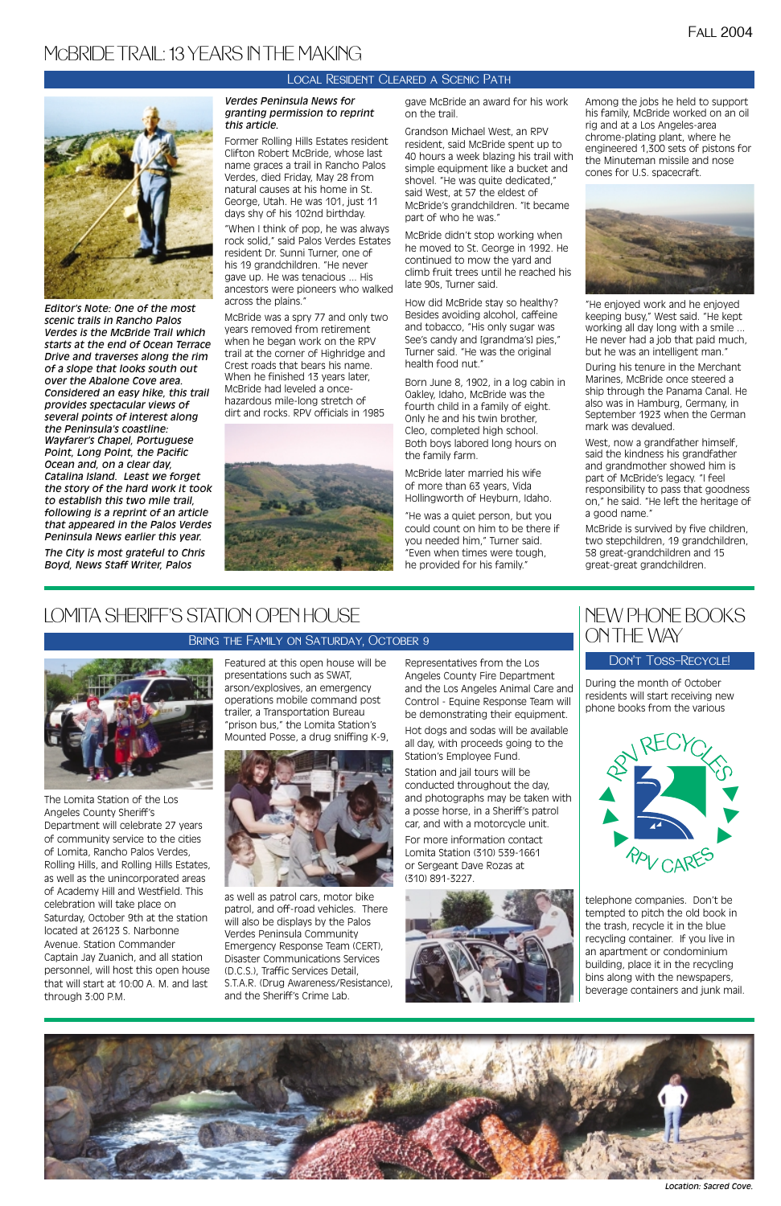*Editor's Note: One of the most scenic trails in Rancho Palos Verdes is the McBride Trail which starts at the end of Ocean Terrace Drive and traverses along the rim of a slope that looks south out over the Abalone Cove area. Considered an easy hike, this trail provides spectacular views of several points of interest along the Peninsula's coastline: Wayfarer's Chapel, Portuguese Point, Long Point, the Pacific Ocean and, on a clear day, Catalina Island. Least we forget the story of the hard work it took to establish this two mile trail, following is a reprint of an article that appeared in the Palos Verdes Peninsula News earlier this year.* 

*The City is most grateful to Chris Boyd, News Staff Writer, Palos*

### *Verdes Peninsula News for granting permission to reprint this article.*

Former Rolling Hills Estates resident Clifton Robert McBride, whose last name graces a trail in Rancho Palos Verdes, died Friday, May 28 from natural causes at his home in St. George, Utah. He was 101, just 11 days shy of his 102nd birthday.

"When I think of pop, he was always rock solid," said Palos Verdes Estates resident Dr. Sunni Turner, one of his 19 grandchildren. "He never gave up. He was tenacious ... His ancestors were pioneers who walked across the plains."

McBride was a spry 77 and only two years removed from retirement when he began work on the RPV trail at the corner of Highridge and Crest roads that bears his name. When he finished 13 years later, McBride had leveled a oncehazardous mile-long stretch of dirt and rocks. RPV officials in 1985



gave McBride an award for his work on the trail.

Grandson Michael West, an RPV resident, said McBride spent up to 40 hours a week blazing his trail with simple equipment like a bucket and shovel. "He was quite dedicated," said West, at 57 the eldest of McBride's grandchildren. "It became part of who he was."

McBride didn't stop working when he moved to St. George in 1992. He continued to mow the yard and climb fruit trees until he reached his late 90s, Turner said.

How did McBride stay so healthy? Besides avoiding alcohol, caffeine and tobacco, "His only sugar was See's candy and [grandma's] pies," Turner said. "He was the original health food nut."

Born June 8, 1902, in a log cabin in Oakley, Idaho, McBride was the fourth child in a family of eight. Only he and his twin brother, Cleo, completed high school. Both boys labored long hours on the family farm.

McBride later married his wife of more than 63 years, Vida Hollingworth of Heyburn, Idaho.

"He was a quiet person, but you could count on him to be there if you needed him," Turner said. "Even when times were tough, he provided for his family."

Among the jobs he held to support his family, McBride worked on an oil rig and at a Los Angeles-area chrome-plating plant, where he engineered 1,300 sets of pistons for the Minuteman missile and nose cones for U.S. spacecraft.



"He enjoyed work and he enjoyed keeping busy," West said. "He kept working all day long with a smile ... He never had a job that paid much, but he was an intelligent man."

During his tenure in the Merchant Marines, McBride once steered a ship through the Panama Canal. He also was in Hamburg, Germany, in September 1923 when the German mark was devalued.

West, now a grandfather himself, said the kindness his grandfather and grandmother showed him is part of McBride's legacy. "I feel responsibility to pass that goodness on," he said. "He left the heritage of a good name."

McBride is survived by five children, two stepchildren, 19 grandchildren, 58 great-grandchildren and 15 great-great grandchildren.

# MCBRIDE TRAIL: 13 YEARS IN THE MAKING



The Lomita Station of the Los Angeles County Sheriff's Department will celebrate 27 years of community service to the cities of Lomita, Rancho Palos Verdes, Rolling Hills, and Rolling Hills Estates, as well as the unincorporated areas

of Academy Hill and Westfield. This celebration will take place on Saturday, October 9th at the station located at 26123 S. Narbonne Avenue. Station Commander Captain Jay Zuanich, and all station personnel, will host this open house that will start at 10:00 A. M. and last through 3:00 P.M.

Featured at this open house will be presentations such as SWAT, arson/explosives, an emergency operations mobile command post trailer, a Transportation Bureau "prison bus," the Lomita Station's Mounted Posse, a drug sniffing K-9,



as well as patrol cars, motor bike patrol, and off-road vehicles. There will also be displays by the Palos Verdes Peninsula Community Emergency Response Team (CERT), Disaster Communications Services (D.C.S.), Traffic Services Detail, S.T.A.R. (Drug Awareness/Resistance), and the Sheriff's Crime Lab.



Representatives from the Los Angeles County Fire Department and the Los Angeles Animal Care and Control - Equine Response Team will be demonstrating their equipment.

Hot dogs and sodas will be available all day, with proceeds going to the Station's Employee Fund.

Station and jail tours will be conducted throughout the day, and photographs may be taken with a posse horse, in a Sheriff's patrol car, and with a motorcycle unit.

For more information contact Lomita Station (310) 539-1661 or Sergeant Dave Rozas at (310) 891-3227.

## LOMITA SHERIFF'S STATION OPEN HOUSE

### Bring the Family on Saturday, October 9

### Local Resident Cleared a Scenic Path



During the month of October residents will start receiving new phone books from the various

telephone companies. Don't be tempted to pitch the old book in the trash, recycle it in the blue recycling container. If you live in an apartment or condominium building, place it in the recycling bins along with the newspapers, beverage containers and junk mail.



## NEW PHONE BOOKS ON THE WAY

### Don't Toss—Recycle!



*Location: Sacred Cove.*